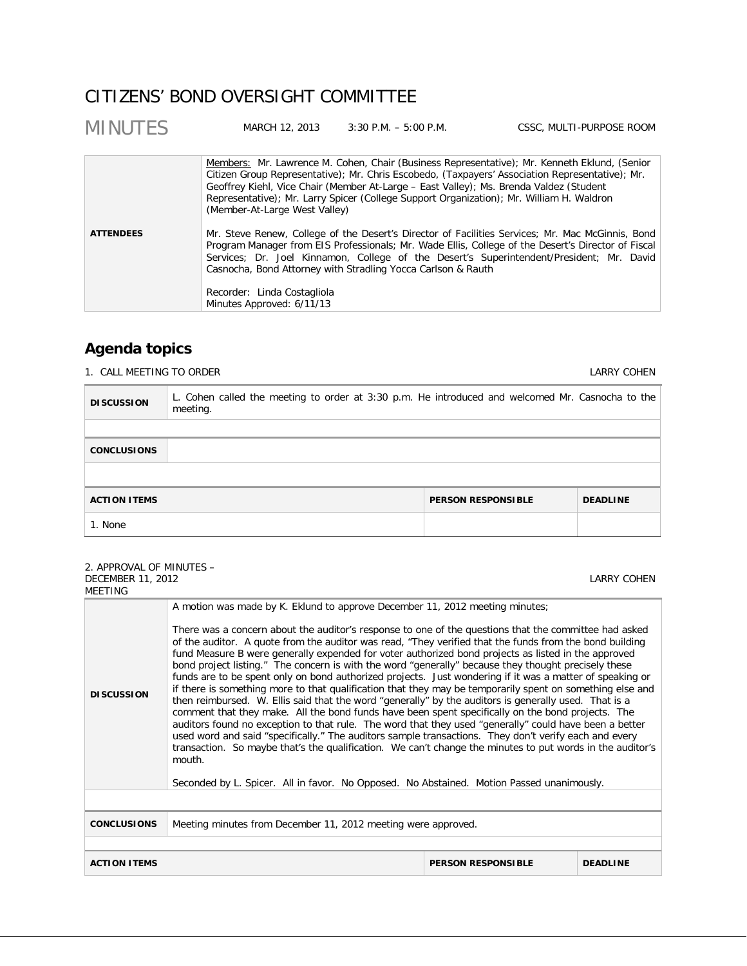# CITIZENS' BOND OVERSIGHT COMMITTEE

| <b>MINUTES</b>   | MARCH 12, 2013                                           | $3:30$ P.M. $-5:00$ P.M.                                                                                                                                                           | CSSC, MULTI-PURPOSE ROOM                                                                                                                                                                                                                                                                           |
|------------------|----------------------------------------------------------|------------------------------------------------------------------------------------------------------------------------------------------------------------------------------------|----------------------------------------------------------------------------------------------------------------------------------------------------------------------------------------------------------------------------------------------------------------------------------------------------|
|                  | (Member-At-Large West Valley)                            | Geoffrey Kiehl, Vice Chair (Member At-Large - East Valley); Ms. Brenda Valdez (Student<br>Representative); Mr. Larry Spicer (College Support Organization); Mr. William H. Waldron | Members: Mr. Lawrence M. Cohen, Chair (Business Representative); Mr. Kenneth Eklund, (Senior<br>Citizen Group Representative); Mr. Chris Escobedo, (Taxpayers' Association Representative); Mr.                                                                                                    |
| <b>ATTENDEES</b> | Recorder: Linda Costagliola<br>Minutes Approved: 6/11/13 | Casnocha, Bond Attorney with Stradling Yocca Carlson & Rauth                                                                                                                       | Mr. Steve Renew, College of the Desert's Director of Facilities Services; Mr. Mac McGinnis, Bond<br>Program Manager from EIS Professionals; Mr. Wade Ellis, College of the Desert's Director of Fiscal<br>Services; Dr. Joel Kinnamon, College of the Desert's Superintendent/President; Mr. David |

# **Agenda topics**

1. CALL MEETING TO ORDER **LARRY COHEN** 

| <b>DISCUSSION</b>   | L. Cohen called the meeting to order at 3:30 p.m. He introduced and welcomed Mr. Casnocha to the<br>meeting. |                           |                 |
|---------------------|--------------------------------------------------------------------------------------------------------------|---------------------------|-----------------|
|                     |                                                                                                              |                           |                 |
| <b>CONCLUSIONS</b>  |                                                                                                              |                           |                 |
|                     |                                                                                                              |                           |                 |
| <b>ACTION ITEMS</b> |                                                                                                              | <b>PERSON RESPONSIBLE</b> | <b>DEADLINE</b> |
| 1. None             |                                                                                                              |                           |                 |

#### 2. APPROVAL OF MINUTES – DECEMBER 11, 2012 MEETING

LARRY COHEN

| 171 L L 1 11 N J   |                                                                                                                                                                                                                                                                                                                                                                                                                                                                                                                                                                                                                                                                                                                                                                                                                                                                                                                                                                                                                                                                                                                                                                                                                                                                                                                                                                                               |
|--------------------|-----------------------------------------------------------------------------------------------------------------------------------------------------------------------------------------------------------------------------------------------------------------------------------------------------------------------------------------------------------------------------------------------------------------------------------------------------------------------------------------------------------------------------------------------------------------------------------------------------------------------------------------------------------------------------------------------------------------------------------------------------------------------------------------------------------------------------------------------------------------------------------------------------------------------------------------------------------------------------------------------------------------------------------------------------------------------------------------------------------------------------------------------------------------------------------------------------------------------------------------------------------------------------------------------------------------------------------------------------------------------------------------------|
| <b>DISCUSSION</b>  | A motion was made by K. Eklund to approve December 11, 2012 meeting minutes;<br>There was a concern about the auditor's response to one of the questions that the committee had asked<br>of the auditor. A quote from the auditor was read, "They verified that the funds from the bond building<br>fund Measure B were generally expended for voter authorized bond projects as listed in the approved<br>bond project listing." The concern is with the word "generally" because they thought precisely these<br>funds are to be spent only on bond authorized projects. Just wondering if it was a matter of speaking or<br>if there is something more to that qualification that they may be temporarily spent on something else and<br>then reimbursed. W. Ellis said that the word "generally" by the auditors is generally used. That is a<br>comment that they make. All the bond funds have been spent specifically on the bond projects. The<br>auditors found no exception to that rule. The word that they used "generally" could have been a better<br>used word and said "specifically." The auditors sample transactions. They don't verify each and every<br>transaction. So maybe that's the qualification. We can't change the minutes to put words in the auditor's<br>mouth.<br>Seconded by L. Spicer. All in favor. No Opposed. No Abstained. Motion Passed unanimously. |
|                    |                                                                                                                                                                                                                                                                                                                                                                                                                                                                                                                                                                                                                                                                                                                                                                                                                                                                                                                                                                                                                                                                                                                                                                                                                                                                                                                                                                                               |
| <b>CONCLUSIONS</b> | Meeting minutes from December 11, 2012 meeting were approved.                                                                                                                                                                                                                                                                                                                                                                                                                                                                                                                                                                                                                                                                                                                                                                                                                                                                                                                                                                                                                                                                                                                                                                                                                                                                                                                                 |
|                    |                                                                                                                                                                                                                                                                                                                                                                                                                                                                                                                                                                                                                                                                                                                                                                                                                                                                                                                                                                                                                                                                                                                                                                                                                                                                                                                                                                                               |

**ACTION ITEMS PERSON RESPONSIBLE DEADLINE**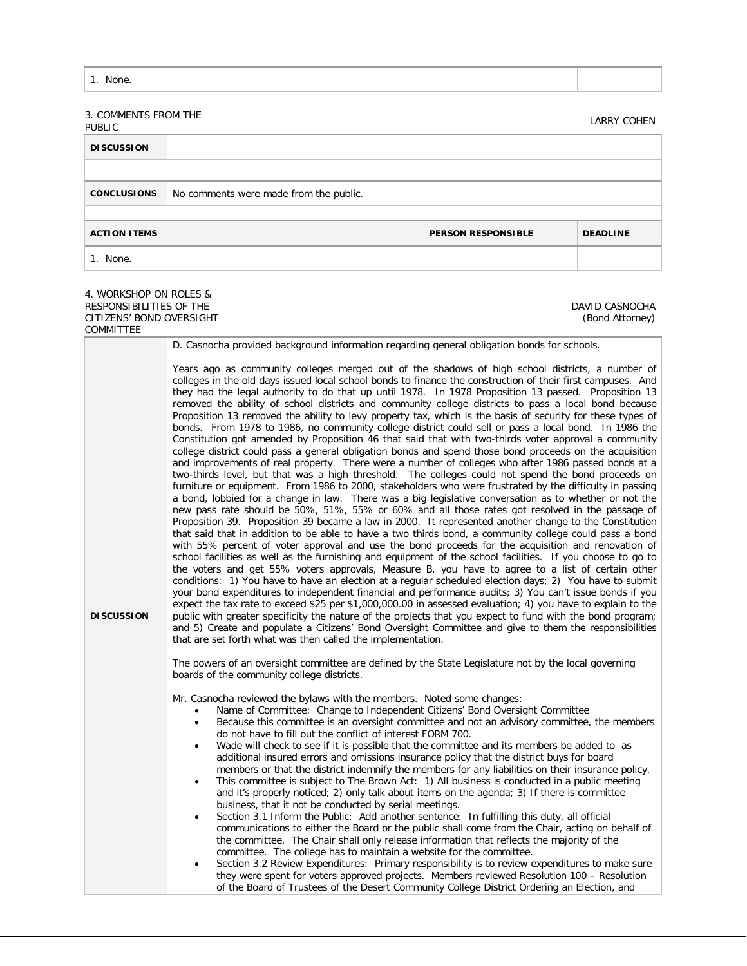| --<br><b>INDDC</b> |  |  |
|--------------------|--|--|
|--------------------|--|--|

# 3. COMMENTS FROM THE

| <b>J. CONTRILIVIJ I KONI TITL</b>      |                           | <b>LARRY COHEN</b> |
|----------------------------------------|---------------------------|--------------------|
|                                        |                           |                    |
|                                        |                           |                    |
| No comments were made from the public. |                           |                    |
|                                        |                           |                    |
|                                        | <b>PERSON RESPONSIBLE</b> | <b>DEADLINE</b>    |
|                                        |                           |                    |
|                                        |                           |                    |

DAVID CASNOCHA (Bond Attorney)

#### 4. WORKSHOP ON ROLES & RESPONSIBILITIES OF THE CITIZENS' BOND OVERSIGHT COMMITTEE

**DISCUSSION** D. Casnocha provided background information regarding general obligation bonds for schools. Years ago as community colleges merged out of the shadows of high school districts, a number of colleges in the old days issued local school bonds to finance the construction of their first campuses. And they had the legal authority to do that up until 1978. In 1978 Proposition 13 passed. Proposition 13 removed the ability of school districts and community college districts to pass a local bond because Proposition 13 removed the ability to levy property tax, which is the basis of security for these types of bonds. From 1978 to 1986, no community college district could sell or pass a local bond. In 1986 the Constitution got amended by Proposition 46 that said that with two-thirds voter approval a community college district could pass a general obligation bonds and spend those bond proceeds on the acquisition and improvements of real property. There were a number of colleges who after 1986 passed bonds at a two-thirds level, but that was a high threshold. The colleges could not spend the bond proceeds on furniture or equipment. From 1986 to 2000, stakeholders who were frustrated by the difficulty in passing a bond, lobbied for a change in law. There was a big legislative conversation as to whether or not the new pass rate should be 50%, 51%, 55% or 60% and all those rates got resolved in the passage of Proposition 39. Proposition 39 became a law in 2000. It represented another change to the Constitution that said that in addition to be able to have a two thirds bond, a community college could pass a bond with 55% percent of voter approval and use the bond proceeds for the acquisition and renovation of school facilities as well as the furnishing and equipment of the school facilities. If you choose to go to the voters and get 55% voters approvals, Measure B, you have to agree to a list of certain other conditions: 1) You have to have an election at a regular scheduled election days; 2) You have to submit your bond expenditures to independent financial and performance audits; 3) You can't issue bonds if you expect the tax rate to exceed \$25 per \$1,000,000.00 in assessed evaluation; 4) you have to explain to the public with greater specificity the nature of the projects that you expect to fund with the bond program; and 5) Create and populate a Citizens' Bond Oversight Committee and give to them the responsibilities that are set forth what was then called the implementation. The powers of an oversight committee are defined by the State Legislature not by the local governing boards of the community college districts. Mr. Casnocha reviewed the bylaws with the members. Noted some changes: Name of Committee: Change to Independent Citizens' Bond Oversight Committee • Because this committee is an oversight committee and not an advisory committee, the members do not have to fill out the conflict of interest FORM 700.

- Wade will check to see if it is possible that the committee and its members be added to as additional insured errors and omissions insurance policy that the district buys for board members or that the district indemnify the members for any liabilities on their insurance policy.
- This committee is subject to The Brown Act: 1) All business is conducted in a public meeting and it's properly noticed; 2) only talk about items on the agenda; 3) If there is committee business, that it not be conducted by serial meetings.
- Section 3.1 Inform the Public: Add another sentence: In fulfilling this duty, all official communications to either the Board or the public shall come from the Chair, acting on behalf of the committee. The Chair shall only release information that reflects the majority of the committee. The college has to maintain a website for the committee.
- Section 3.2 Review Expenditures: Primary responsibility is to review expenditures to make sure they were spent for voters approved projects. Members reviewed Resolution 100 – Resolution of the Board of Trustees of the Desert Community College District Ordering an Election, and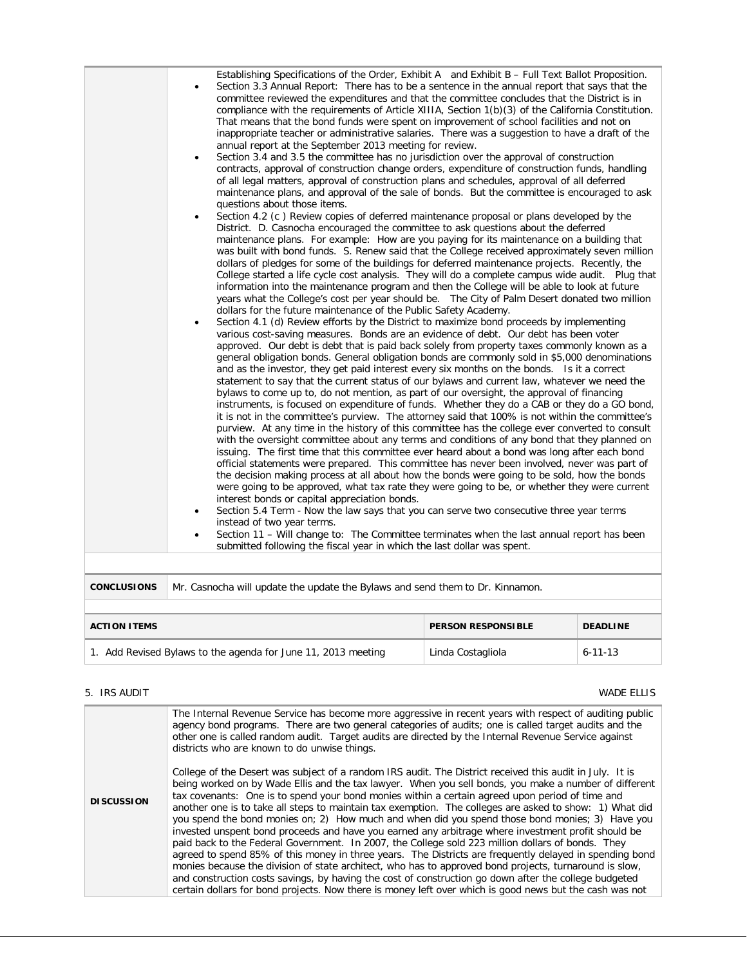| Establishing Specifications of the Order, Exhibit A and Exhibit B - Full Text Ballot Proposition.<br>Section 3.3 Annual Report: There has to be a sentence in the annual report that says that the<br>٠<br>committee reviewed the expenditures and that the committee concludes that the District is in<br>compliance with the requirements of Article XIIIA, Section $1(b)(3)$ of the California Constitution.<br>That means that the bond funds were spent on improvement of school facilities and not on<br>inappropriate teacher or administrative salaries. There was a suggestion to have a draft of the<br>annual report at the September 2013 meeting for review.<br>Section 3.4 and 3.5 the committee has no jurisdiction over the approval of construction<br>$\bullet$<br>contracts, approval of construction change orders, expenditure of construction funds, handling<br>of all legal matters, approval of construction plans and schedules, approval of all deferred<br>maintenance plans, and approval of the sale of bonds. But the committee is encouraged to ask<br>questions about those items.<br>Section 4.2 (c) Review copies of deferred maintenance proposal or plans developed by the<br>$\bullet$<br>District. D. Casnocha encouraged the committee to ask questions about the deferred<br>maintenance plans. For example: How are you paying for its maintenance on a building that<br>was built with bond funds. S. Renew said that the College received approximately seven million<br>dollars of pledges for some of the buildings for deferred maintenance projects. Recently, the<br>College started a life cycle cost analysis. They will do a complete campus wide audit. Plug that<br>information into the maintenance program and then the College will be able to look at future<br>years what the College's cost per year should be. The City of Palm Desert donated two million<br>dollars for the future maintenance of the Public Safety Academy.<br>Section 4.1 (d) Review efforts by the District to maximize bond proceeds by implementing<br>$\bullet$<br>various cost-saving measures. Bonds are an evidence of debt. Our debt has been voter<br>approved. Our debt is debt that is paid back solely from property taxes commonly known as a<br>general obligation bonds. General obligation bonds are commonly sold in \$5,000 denominations<br>and as the investor, they get paid interest every six months on the bonds. Is it a correct<br>statement to say that the current status of our bylaws and current law, whatever we need the<br>bylaws to come up to, do not mention, as part of our oversight, the approval of financing<br>instruments, is focused on expenditure of funds. Whether they do a CAB or they do a GO bond,<br>it is not in the committee's purview. The attorney said that 100% is not within the committee's<br>purview. At any time in the history of this committee has the college ever converted to consult<br>with the oversight committee about any terms and conditions of any bond that they planned on<br>issuing. The first time that this committee ever heard about a bond was long after each bond<br>official statements were prepared. This committee has never been involved, never was part of<br>the decision making process at all about how the bonds were going to be sold, how the bonds<br>were going to be approved, what tax rate they were going to be, or whether they were current<br>interest bonds or capital appreciation bonds.<br>Section 5.4 Term - Now the law says that you can serve two consecutive three year terms<br>$\bullet$<br>instead of two year terms.<br>Section 11 - Will change to: The Committee terminates when the last annual report has been<br>٠<br>submitted following the fiscal year in which the last dollar was spent. |
|-------------------------------------------------------------------------------------------------------------------------------------------------------------------------------------------------------------------------------------------------------------------------------------------------------------------------------------------------------------------------------------------------------------------------------------------------------------------------------------------------------------------------------------------------------------------------------------------------------------------------------------------------------------------------------------------------------------------------------------------------------------------------------------------------------------------------------------------------------------------------------------------------------------------------------------------------------------------------------------------------------------------------------------------------------------------------------------------------------------------------------------------------------------------------------------------------------------------------------------------------------------------------------------------------------------------------------------------------------------------------------------------------------------------------------------------------------------------------------------------------------------------------------------------------------------------------------------------------------------------------------------------------------------------------------------------------------------------------------------------------------------------------------------------------------------------------------------------------------------------------------------------------------------------------------------------------------------------------------------------------------------------------------------------------------------------------------------------------------------------------------------------------------------------------------------------------------------------------------------------------------------------------------------------------------------------------------------------------------------------------------------------------------------------------------------------------------------------------------------------------------------------------------------------------------------------------------------------------------------------------------------------------------------------------------------------------------------------------------------------------------------------------------------------------------------------------------------------------------------------------------------------------------------------------------------------------------------------------------------------------------------------------------------------------------------------------------------------------------------------------------------------------------------------------------------------------------------------------------------------------------------------------------------------------------------------------------------------------------------------------------------------------------------------------------------------------------------------------------------------------------------------------------------------------------------------------------------------------------------------------------------------------------------------------------------------------------------------------------------------------------------------------------------------------------------------------------------------------------------------|
|                                                                                                                                                                                                                                                                                                                                                                                                                                                                                                                                                                                                                                                                                                                                                                                                                                                                                                                                                                                                                                                                                                                                                                                                                                                                                                                                                                                                                                                                                                                                                                                                                                                                                                                                                                                                                                                                                                                                                                                                                                                                                                                                                                                                                                                                                                                                                                                                                                                                                                                                                                                                                                                                                                                                                                                                                                                                                                                                                                                                                                                                                                                                                                                                                                                                                                                                                                                                                                                                                                                                                                                                                                                                                                                                                                                                                                                                   |

| <b>CONCLUSIONS</b>   Mr. Casnocha will update the update the Bylaws and send them to Dr. Kinnamon. |  |  |  |  |
|----------------------------------------------------------------------------------------------------|--|--|--|--|
|                                                                                                    |  |  |  |  |

| <b>ACTION ITEMS</b>                                        | <b>PERSON RESPONSIBLE</b> | <b>DEADLINE</b> |
|------------------------------------------------------------|---------------------------|-----------------|
| Add Revised Bylaws to the agenda for June 11, 2013 meeting | Linda Costagliola         | $6 - 11 - 13$   |

# 5. IRS AUDIT WADE ELLIS

|                   | The Internal Revenue Service has become more aggressive in recent years with respect of auditing public<br>agency bond programs. There are two general categories of audits; one is called target audits and the<br>other one is called random audit. Target audits are directed by the Internal Revenue Service against<br>districts who are known to do unwise things.                                                                                                                                                                                                                                                                                                                                                                                                                                                                                                                                                                                                                                                                                                                                                                                                               |
|-------------------|----------------------------------------------------------------------------------------------------------------------------------------------------------------------------------------------------------------------------------------------------------------------------------------------------------------------------------------------------------------------------------------------------------------------------------------------------------------------------------------------------------------------------------------------------------------------------------------------------------------------------------------------------------------------------------------------------------------------------------------------------------------------------------------------------------------------------------------------------------------------------------------------------------------------------------------------------------------------------------------------------------------------------------------------------------------------------------------------------------------------------------------------------------------------------------------|
| <b>DISCUSSION</b> | College of the Desert was subject of a random IRS audit. The District received this audit in July. It is<br>being worked on by Wade Ellis and the tax lawyer. When you sell bonds, you make a number of different<br>tax covenants: One is to spend your bond monies within a certain agreed upon period of time and<br>another one is to take all steps to maintain tax exemption. The colleges are asked to show: 1) What did<br>you spend the bond monies on; 2) How much and when did you spend those bond monies; 3) Have you<br>invested unspent bond proceeds and have you earned any arbitrage where investment profit should be<br>paid back to the Federal Government. In 2007, the College sold 223 million dollars of bonds. They<br>agreed to spend 85% of this money in three years. The Districts are frequently delayed in spending bond<br>monies because the division of state architect, who has to approved bond projects, turnaround is slow,<br>and construction costs savings, by having the cost of construction go down after the college budgeted<br>certain dollars for bond projects. Now there is money left over which is good news but the cash was not |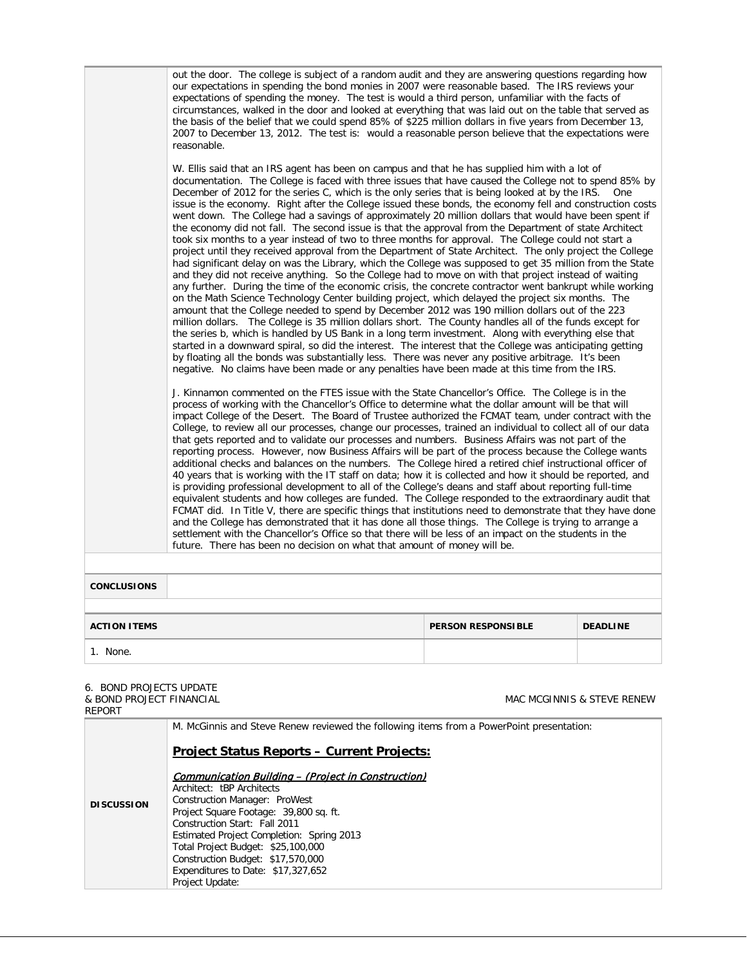| 1. None.            |                                                                                                                                                                                                                                                                                                                                                                                                                                                                                                                                                                                                                                                                                                                                                                                                                                                                                                                                                                                                                                                                                                                                                                                                                                                                                                                                                                                                                                                                                                                                                                                                                                                                                                                                                                                                                                                                                                                                                     |                           |                 |  |
|---------------------|-----------------------------------------------------------------------------------------------------------------------------------------------------------------------------------------------------------------------------------------------------------------------------------------------------------------------------------------------------------------------------------------------------------------------------------------------------------------------------------------------------------------------------------------------------------------------------------------------------------------------------------------------------------------------------------------------------------------------------------------------------------------------------------------------------------------------------------------------------------------------------------------------------------------------------------------------------------------------------------------------------------------------------------------------------------------------------------------------------------------------------------------------------------------------------------------------------------------------------------------------------------------------------------------------------------------------------------------------------------------------------------------------------------------------------------------------------------------------------------------------------------------------------------------------------------------------------------------------------------------------------------------------------------------------------------------------------------------------------------------------------------------------------------------------------------------------------------------------------------------------------------------------------------------------------------------------------|---------------------------|-----------------|--|
| <b>ACTION ITEMS</b> |                                                                                                                                                                                                                                                                                                                                                                                                                                                                                                                                                                                                                                                                                                                                                                                                                                                                                                                                                                                                                                                                                                                                                                                                                                                                                                                                                                                                                                                                                                                                                                                                                                                                                                                                                                                                                                                                                                                                                     | <b>PERSON RESPONSIBLE</b> | <b>DEADLINE</b> |  |
| <b>CONCLUSIONS</b>  |                                                                                                                                                                                                                                                                                                                                                                                                                                                                                                                                                                                                                                                                                                                                                                                                                                                                                                                                                                                                                                                                                                                                                                                                                                                                                                                                                                                                                                                                                                                                                                                                                                                                                                                                                                                                                                                                                                                                                     |                           |                 |  |
|                     |                                                                                                                                                                                                                                                                                                                                                                                                                                                                                                                                                                                                                                                                                                                                                                                                                                                                                                                                                                                                                                                                                                                                                                                                                                                                                                                                                                                                                                                                                                                                                                                                                                                                                                                                                                                                                                                                                                                                                     |                           |                 |  |
|                     | J. Kinnamon commented on the FTES issue with the State Chancellor's Office. The College is in the<br>process of working with the Chancellor's Office to determine what the dollar amount will be that will<br>impact College of the Desert. The Board of Trustee authorized the FCMAT team, under contract with the<br>College, to review all our processes, change our processes, trained an individual to collect all of our data<br>that gets reported and to validate our processes and numbers. Business Affairs was not part of the<br>reporting process. However, now Business Affairs will be part of the process because the College wants<br>additional checks and balances on the numbers. The College hired a retired chief instructional officer of<br>40 years that is working with the IT staff on data; how it is collected and how it should be reported, and<br>is providing professional development to all of the College's deans and staff about reporting full-time<br>equivalent students and how colleges are funded. The College responded to the extraordinary audit that<br>FCMAT did. In Title V, there are specific things that institutions need to demonstrate that they have done<br>and the College has demonstrated that it has done all those things. The College is trying to arrange a<br>settlement with the Chancellor's Office so that there will be less of an impact on the students in the<br>future. There has been no decision on what that amount of money will be.                                                                                                                                                                                                                                                                                                                                                                                                                                   |                           |                 |  |
|                     | W. Ellis said that an IRS agent has been on campus and that he has supplied him with a lot of<br>documentation. The College is faced with three issues that have caused the College not to spend 85% by<br>December of 2012 for the series C, which is the only series that is being looked at by the IRS.<br>issue is the economy. Right after the College issued these bonds, the economy fell and construction costs<br>went down. The College had a savings of approximately 20 million dollars that would have been spent if<br>the economy did not fall. The second issue is that the approval from the Department of state Architect<br>took six months to a year instead of two to three months for approval. The College could not start a<br>project until they received approval from the Department of State Architect. The only project the College<br>had significant delay on was the Library, which the College was supposed to get 35 million from the State<br>and they did not receive anything. So the College had to move on with that project instead of waiting<br>any further. During the time of the economic crisis, the concrete contractor went bankrupt while working<br>on the Math Science Technology Center building project, which delayed the project six months. The<br>amount that the College needed to spend by December 2012 was 190 million dollars out of the 223<br>million dollars. The College is 35 million dollars short. The County handles all of the funds except for<br>the series b, which is handled by US Bank in a long term investment. Along with everything else that<br>started in a downward spiral, so did the interest. The interest that the College was anticipating getting<br>by floating all the bonds was substantially less. There was never any positive arbitrage. It's been<br>negative. No claims have been made or any penalties have been made at this time from the IRS. |                           | One             |  |
|                     | out the door. The college is subject of a random audit and they are answering questions regarding how<br>our expectations in spending the bond monies in 2007 were reasonable based. The IRS reviews your<br>expectations of spending the money. The test is would a third person, unfamiliar with the facts of<br>circumstances, walked in the door and looked at everything that was laid out on the table that served as<br>the basis of the belief that we could spend 85% of \$225 million dollars in five years from December 13,<br>2007 to December 13, 2012. The test is: would a reasonable person believe that the expectations were<br>reasonable.                                                                                                                                                                                                                                                                                                                                                                                                                                                                                                                                                                                                                                                                                                                                                                                                                                                                                                                                                                                                                                                                                                                                                                                                                                                                                      |                           |                 |  |

# 6. BOND PROJECTS UPDATE & BOND PROJECT FINANCIAL

MAC MCGINNIS & STEVE RENEW

| REPORT            |                                                                                                                                                                                                    |
|-------------------|----------------------------------------------------------------------------------------------------------------------------------------------------------------------------------------------------|
|                   | M. McGinnis and Steve Renew reviewed the following items from a PowerPoint presentation:                                                                                                           |
| <b>DISCUSSION</b> | <b>Project Status Reports - Current Projects:</b>                                                                                                                                                  |
|                   | <b>Communication Building - (Project in Construction)</b><br>Architect: tBP Architects<br>Construction Manager: ProWest<br>Project Square Footage: 39,800 sq. ft.<br>Construction Start: Fall 2011 |
|                   | Estimated Project Completion: Spring 2013<br>Total Project Budget: \$25,100,000<br>Construction Budget: \$17,570,000<br>Expenditures to Date: \$17,327,652<br>Project Update:                      |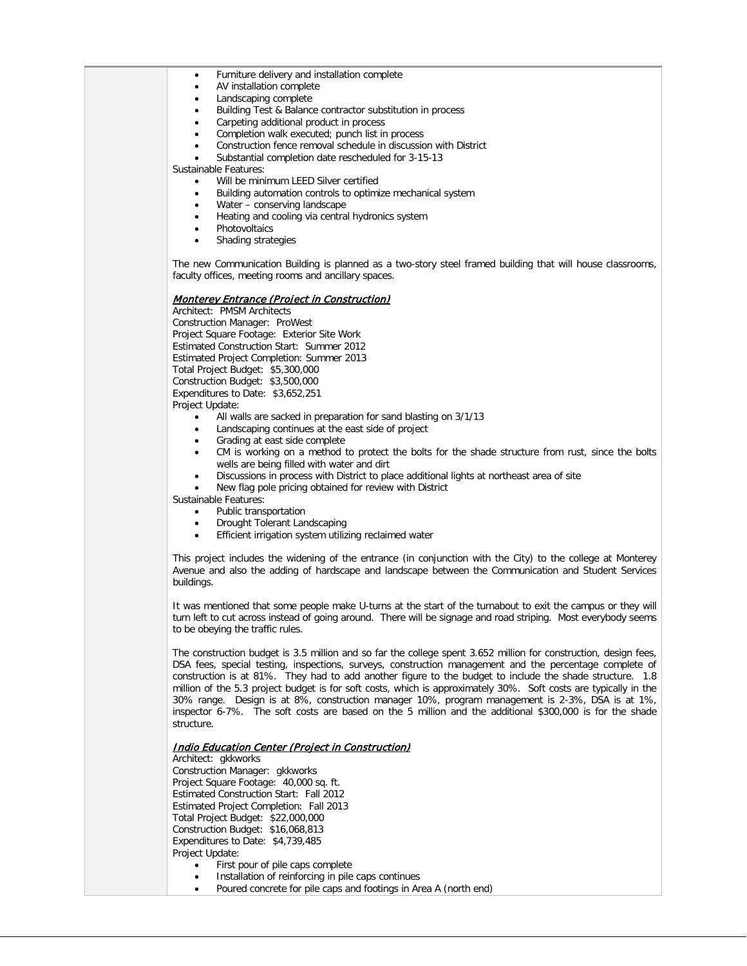|  |  | Furniture delivery and installation complete |  |
|--|--|----------------------------------------------|--|
|  |  |                                              |  |

- AV installation complete
- Landscaping complete
- Building Test & Balance contractor substitution in process
- Carpeting additional product in process
- Completion walk executed; punch list in process
- Construction fence removal schedule in discussion with District
- Substantial completion date rescheduled for 3-15-13

Sustainable Features:

- Will be minimum LEED Silver certified
- Building automation controls to optimize mechanical system
- Water conserving landscape
- Heating and cooling via central hydronics system
- **Photovoltaics**
- Shading strategies

The new Communication Building is planned as a two-story steel framed building that will house classrooms, faculty offices, meeting rooms and ancillary spaces.

#### Monterey Entrance (Project in Construction)

Architect: PMSM Architects Construction Manager: ProWest Project Square Footage: Exterior Site Work Estimated Construction Start: Summer 2012 Estimated Project Completion: Summer 2013 Total Project Budget: \$5,300,000 Construction Budget: \$3,500,000 Expenditures to Date: \$3,652,251 Project Update:

- All walls are sacked in preparation for sand blasting on 3/1/13
- Landscaping continues at the east side of project
- Grading at east side complete
- CM is working on a method to protect the bolts for the shade structure from rust, since the bolts wells are being filled with water and dirt
- Discussions in process with District to place additional lights at northeast area of site
- New flag pole pricing obtained for review with District
- Sustainable Features:
	- Public transportation
	- Drought Tolerant Landscaping
	- Efficient irrigation system utilizing reclaimed water

This project includes the widening of the entrance (in conjunction with the City) to the college at Monterey Avenue and also the adding of hardscape and landscape between the Communication and Student Services buildings.

It was mentioned that some people make U-turns at the start of the turnabout to exit the campus or they will turn left to cut across instead of going around. There will be signage and road striping. Most everybody seems to be obeying the traffic rules.

The construction budget is 3.5 million and so far the college spent 3.652 million for construction, design fees, DSA fees, special testing, inspections, surveys, construction management and the percentage complete of construction is at 81%. They had to add another figure to the budget to include the shade structure. 1.8 million of the 5.3 project budget is for soft costs, which is approximately 30%. Soft costs are typically in the 30% range. Design is at 8%, construction manager 10%, program management is 2-3%, DSA is at 1%, inspector 6-7%. The soft costs are based on the 5 million and the additional \$300,000 is for the shade structure.

### Indio Education Center (Project in Construction)

Architect: gkkworks

Construction Manager: gkkworks Project Square Footage: 40,000 sq. ft. Estimated Construction Start: Fall 2012 Estimated Project Completion: Fall 2013 Total Project Budget: \$22,000,000 Construction Budget: \$16,068,813 Expenditures to Date: \$4,739,485 Project Update:

- First pour of pile caps complete
- Installation of reinforcing in pile caps continues
- Poured concrete for pile caps and footings in Area A (north end)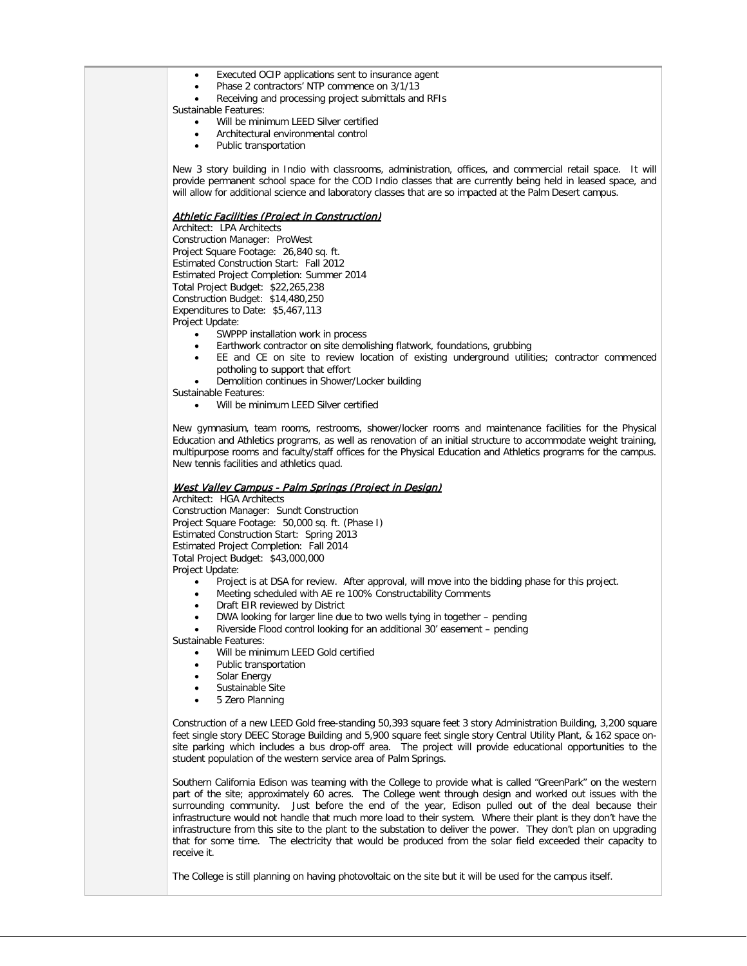- Executed OCIP applications sent to insurance agent
- Phase 2 contractors' NTP commence on 3/1/13
- Receiving and processing project submittals and RFIs

Sustainable Features:

- Will be minimum LEED Silver certified
- Architectural environmental control
- Public transportation

New 3 story building in Indio with classrooms, administration, offices, and commercial retail space. It will provide permanent school space for the COD Indio classes that are currently being held in leased space, and will allow for additional science and laboratory classes that are so impacted at the Palm Desert campus.

### Athletic Facilities (Project in Construction)

Architect: LPA Architects Construction Manager: ProWest Project Square Footage: 26,840 sq. ft. Estimated Construction Start: Fall 2012 Estimated Project Completion: Summer 2014 Total Project Budget: \$22,265,238 Construction Budget: \$14,480,250 Expenditures to Date: \$5,467,113 Project Update:

- SWPPP installation work in process
- Earthwork contractor on site demolishing flatwork, foundations, grubbing
- EE and CE on site to review location of existing underground utilities; contractor commenced potholing to support that effort
- Demolition continues in Shower/Locker building

Sustainable Features:

Will be minimum LEED Silver certified

New gymnasium, team rooms, restrooms, shower/locker rooms and maintenance facilities for the Physical Education and Athletics programs, as well as renovation of an initial structure to accommodate weight training, multipurpose rooms and faculty/staff offices for the Physical Education and Athletics programs for the campus. New tennis facilities and athletics quad.

#### West Valley Campus - Palm Springs (Project in Design)

Architect: HGA Architects Construction Manager: Sundt Construction Project Square Footage: 50,000 sq. ft. (Phase I) Estimated Construction Start: Spring 2013 Estimated Project Completion: Fall 2014 Total Project Budget: \$43,000,000 Project Update:

- Project is at DSA for review. After approval, will move into the bidding phase for this project.
- Meeting scheduled with AE re 100% Constructability Comments
- Draft EIR reviewed by District
- DWA looking for larger line due to two wells tying in together pending
- Riverside Flood control looking for an additional 30' easement pending

Sustainable Features:

- Will be minimum LEED Gold certified
- Public transportation
- Solar Energy
- Sustainable Site
- 5 Zero Planning

Construction of a new LEED Gold free-standing 50,393 square feet 3 story Administration Building, 3,200 square feet single story DEEC Storage Building and 5,900 square feet single story Central Utility Plant, & 162 space onsite parking which includes a bus drop-off area. The project will provide educational opportunities to the student population of the western service area of Palm Springs.

Southern California Edison was teaming with the College to provide what is called "GreenPark" on the western part of the site; approximately 60 acres. The College went through design and worked out issues with the surrounding community. Just before the end of the year, Edison pulled out of the deal because their infrastructure would not handle that much more load to their system. Where their plant is they don't have the infrastructure from this site to the plant to the substation to deliver the power. They don't plan on upgrading that for some time. The electricity that would be produced from the solar field exceeded their capacity to receive it.

The College is still planning on having photovoltaic on the site but it will be used for the campus itself.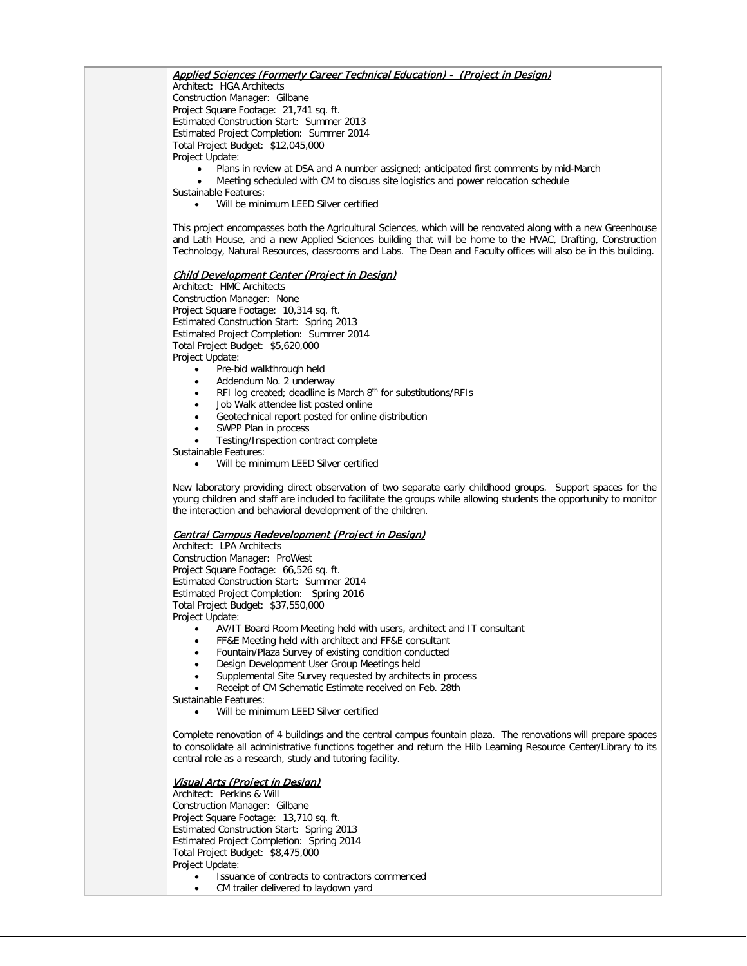# Applied Sciences (Formerly Career Technical Education) - (Project in Design)

Architect: HGA Architects Construction Manager: Gilbane Project Square Footage: 21,741 sq. ft. Estimated Construction Start: Summer 2013 Estimated Project Completion: Summer 2014 Total Project Budget: \$12,045,000 Project Update:

- Plans in review at DSA and A number assigned; anticipated first comments by mid-March
- Meeting scheduled with CM to discuss site logistics and power relocation schedule

Sustainable Features:

Will be minimum LEED Silver certified

This project encompasses both the Agricultural Sciences, which will be renovated along with a new Greenhouse and Lath House, and a new Applied Sciences building that will be home to the HVAC, Drafting, Construction Technology, Natural Resources, classrooms and Labs. The Dean and Faculty offices will also be in this building.

#### Child Development Center (Project in Design)

Architect: HMC Architects Construction Manager: None Project Square Footage: 10,314 sq. ft. Estimated Construction Start: Spring 2013 Estimated Project Completion: Summer 2014 Total Project Budget: \$5,620,000 Project Update:

- Pre-bid walkthrough held
- Addendum No. 2 underway
- RFI log created; deadline is March  $8<sup>th</sup>$  for substitutions/RFIs
- Job Walk attendee list posted online
- Geotechnical report posted for online distribution
- SWPP Plan in process
- Testing/Inspection contract complete

Sustainable Features:

• Will be minimum LEED Silver certified

New laboratory providing direct observation of two separate early childhood groups. Support spaces for the young children and staff are included to facilitate the groups while allowing students the opportunity to monitor the interaction and behavioral development of the children.

# Central Campus Redevelopment (Project in Design)

Architect: LPA Architects Construction Manager: ProWest Project Square Footage: 66,526 sq. ft. Estimated Construction Start: Summer 2014 Estimated Project Completion: Spring 2016 Total Project Budget: \$37,550,000 Project Update:

- AV/IT Board Room Meeting held with users, architect and IT consultant
- FF&E Meeting held with architect and FF&E consultant
- Fountain/Plaza Survey of existing condition conducted
- Design Development User Group Meetings held
- Supplemental Site Survey requested by architects in process
- Receipt of CM Schematic Estimate received on Feb. 28th

Sustainable Features:

• Will be minimum LEED Silver certified

Complete renovation of 4 buildings and the central campus fountain plaza. The renovations will prepare spaces to consolidate all administrative functions together and return the Hilb Learning Resource Center/Library to its central role as a research, study and tutoring facility.

#### Visual Arts (Project in Design)

Architect: Perkins & Will Construction Manager: Gilbane Project Square Footage: 13,710 sq. ft. Estimated Construction Start: Spring 2013 Estimated Project Completion: Spring 2014 Total Project Budget: \$8,475,000 Project Update: • Issuance of contracts to contractors commenced

CM trailer delivered to laydown yard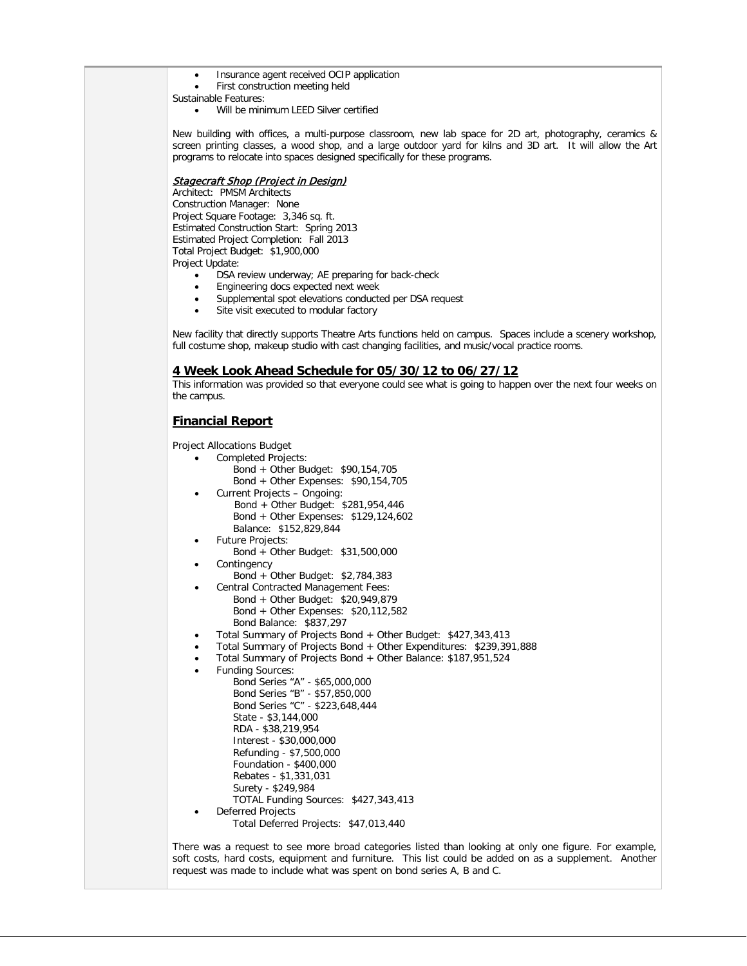- Insurance agent received OCIP application
- First construction meeting held

Sustainable Features:

Will be minimum LEED Silver certified

New building with offices, a multi-purpose classroom, new lab space for 2D art, photography, ceramics & screen printing classes, a wood shop, and a large outdoor yard for kilns and 3D art. It will allow the Art programs to relocate into spaces designed specifically for these programs.

# **Stagecraft Shop (Project in Design)**

Architect: PMSM Architects Construction Manager: None Project Square Footage: 3,346 sq. ft. Estimated Construction Start: Spring 2013 Estimated Project Completion: Fall 2013 Total Project Budget: \$1,900,000 Project Update:

- DSA review underway; AE preparing for back-check
- Engineering docs expected next week
- Supplemental spot elevations conducted per DSA request
- Site visit executed to modular factory

New facility that directly supports Theatre Arts functions held on campus. Spaces include a scenery workshop, full costume shop, makeup studio with cast changing facilities, and music/vocal practice rooms.

#### **4 Week Look Ahead Schedule for 05/30/12 to 06/27/12**

This information was provided so that everyone could see what is going to happen over the next four weeks on the campus.

# **Financial Report**

Project Allocations Budget

- Completed Projects:
	- Bond + Other Budget: \$90,154,705 Bond + Other Expenses: \$90,154,705
- Current Projects Ongoing: Bond + Other Budget: \$281,954,446 Bond + Other Expenses: \$129,124,602 Balance: \$152,829,844
- Future Projects:
	- Bond + Other Budget: \$31,500,000
- **Contingency**
- Bond + Other Budget: \$2,784,383
- Central Contracted Management Fees:
	- Bond + Other Budget: \$20,949,879 Bond + Other Expenses: \$20,112,582 Bond Balance: \$837,297
- Total Summary of Projects Bond + Other Budget: \$427,343,413
- Total Summary of Projects Bond + Other Expenditures: \$239,391,888
- Total Summary of Projects Bond + Other Balance: \$187,951,524

Funding Sources:

```
 Bond Series "A" - $65,000,000
    Bond Series "B" - $57,850,000
    Bond Series "C" - $223,648,444
    State - $3,144,000 
    RDA - $38,219,954 
     Interest - $30,000,000
    Refunding - $7,500,000
    Foundation - $400,000 
    Rebates - $1,331,031
    Surety - $249,984
    TOTAL Funding Sources: $427,343,413
• Deferred Projects
```
Total Deferred Projects: \$47,013,440

There was a request to see more broad categories listed than looking at only one figure. For example, soft costs, hard costs, equipment and furniture. This list could be added on as a supplement. Another request was made to include what was spent on bond series A, B and C.